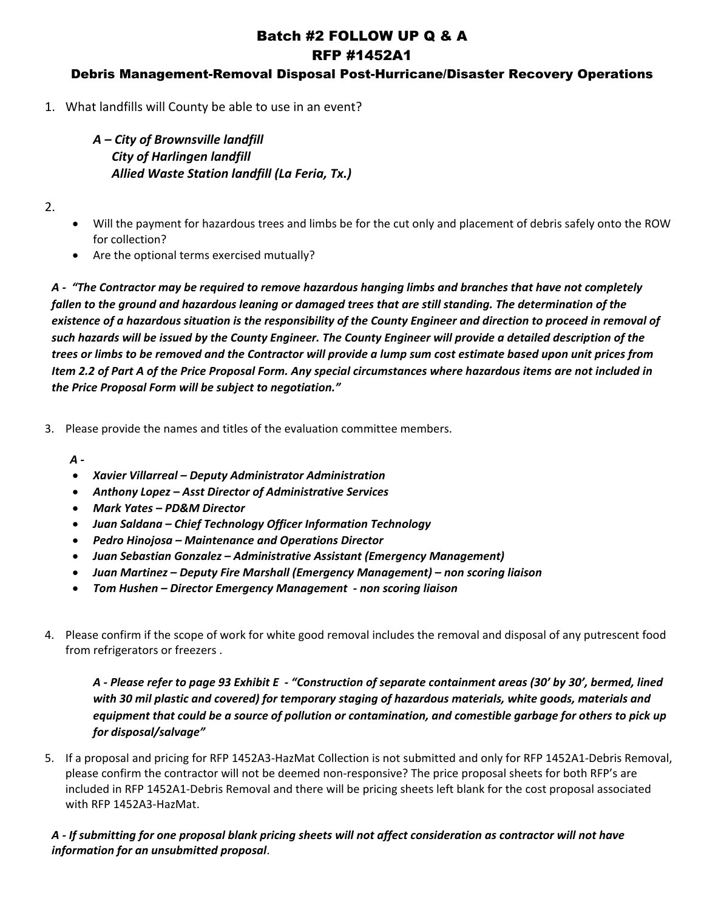# Batch #2 FOLLOW UP Q & A RFP #1452A1

# Debris Management-Removal Disposal Post-Hurricane/Disaster Recovery Operations

1. What landfills will County be able to use in an event?

# *A – City of Brownsville landfill City of Harlingen landfill Allied Waste Station landfill (La Feria, Tx.)*

2.

- Will the payment for hazardous trees and limbs be for the cut only and placement of debris safely onto the ROW for collection?
- Are the optional terms exercised mutually?

*A - "The Contractor may be required to remove hazardous hanging limbs and branches that have not completely fallen to the ground and hazardous leaning or damaged trees that are still standing. The determination of the existence of a hazardous situation is the responsibility of the County Engineer and direction to proceed in removal of such hazards will be issued by the County Engineer. The County Engineer will provide a detailed description of the trees or limbs to be removed and the Contractor will provide a lump sum cost estimate based upon unit prices from Item 2.2 of Part A of the Price Proposal Form. Any special circumstances where hazardous items are not included in the Price Proposal Form will be subject to negotiation."*

3. Please provide the names and titles of the evaluation committee members.

*A -*

- *Xavier Villarreal – Deputy Administrator Administration*
- *Anthony Lopez – Asst Director of Administrative Services*
- *Mark Yates – PD&M Director*
- *Juan Saldana – Chief Technology Officer Information Technology*
- *Pedro Hinojosa – Maintenance and Operations Director*
- *Juan Sebastian Gonzalez – Administrative Assistant (Emergency Management)*
- *Juan Martinez – Deputy Fire Marshall (Emergency Management) – non scoring liaison*
- *Tom Hushen – Director Emergency Management - non scoring liaison*
- 4. Please confirm if the scope of work for white good removal includes the removal and disposal of any putrescent food from refrigerators or freezers .

*A - Please refer to page 93 Exhibit E - "Construction of separate containment areas (30' by 30', bermed, lined with 30 mil plastic and covered) for temporary staging of hazardous materials, white goods, materials and equipment that could be a source of pollution or contamination, and comestible garbage for others to pick up for disposal/salvage"*

5. If a proposal and pricing for RFP 1452A3-HazMat Collection is not submitted and only for RFP 1452A1-Debris Removal, please confirm the contractor will not be deemed non-responsive? The price proposal sheets for both RFP's are included in RFP 1452A1-Debris Removal and there will be pricing sheets left blank for the cost proposal associated with RFP 1452A3-HazMat.

## *A - If submitting for one proposal blank pricing sheets will not affect consideration as contractor will not have information for an unsubmitted proposal*.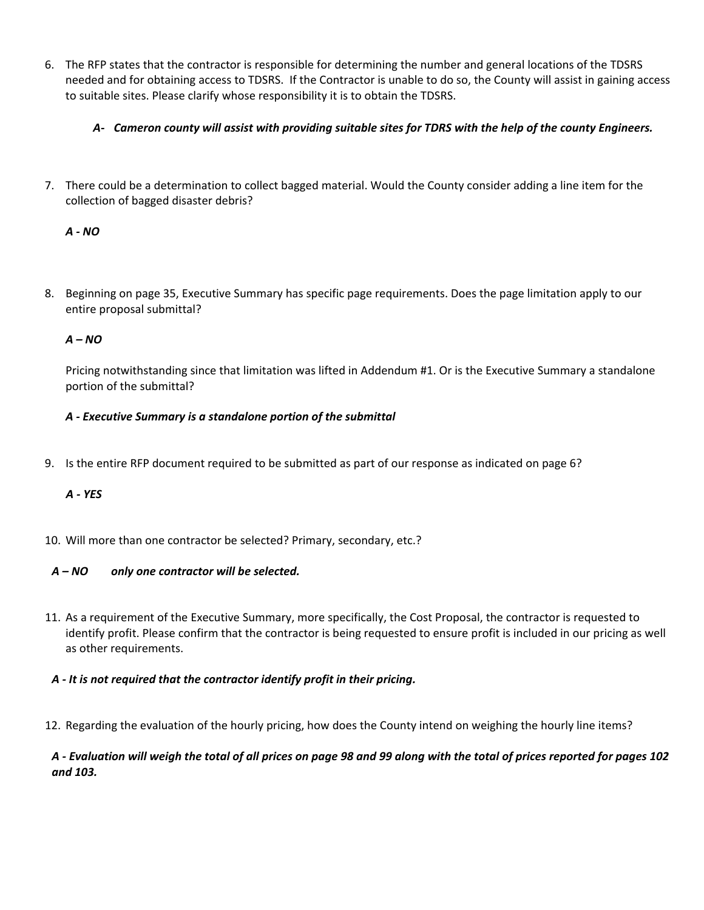6. The RFP states that the contractor is responsible for determining the number and general locations of the TDSRS needed and for obtaining access to TDSRS. If the Contractor is unable to do so, the County will assist in gaining access to suitable sites. Please clarify whose responsibility it is to obtain the TDSRS.

### *A- Cameron county will assist with providing suitable sites for TDRS with the help of the county Engineers.*

7. There could be a determination to collect bagged material. Would the County consider adding a line item for the collection of bagged disaster debris?

## *A - NO*

8. Beginning on page 35, Executive Summary has specific page requirements. Does the page limitation apply to our entire proposal submittal?

## *A – NO*

Pricing notwithstanding since that limitation was lifted in Addendum #1. Or is the Executive Summary a standalone portion of the submittal?

### *A - Executive Summary is a standalone portion of the submittal*

9. Is the entire RFP document required to be submitted as part of our response as indicated on page 6?

### *A - YES*

10. Will more than one contractor be selected? Primary, secondary, etc.?

# *A – NO only one contractor will be selected.*

- 11. As a requirement of the Executive Summary, more specifically, the Cost Proposal, the contractor is requested to identify profit. Please confirm that the contractor is being requested to ensure profit is included in our pricing as well as other requirements.
- *A - It is not required that the contractor identify profit in their pricing.*
- 12. Regarding the evaluation of the hourly pricing, how does the County intend on weighing the hourly line items?

#### *A - Evaluation will weigh the total of all prices on page 98 and 99 along with the total of prices reported for pages 102 and 103.*